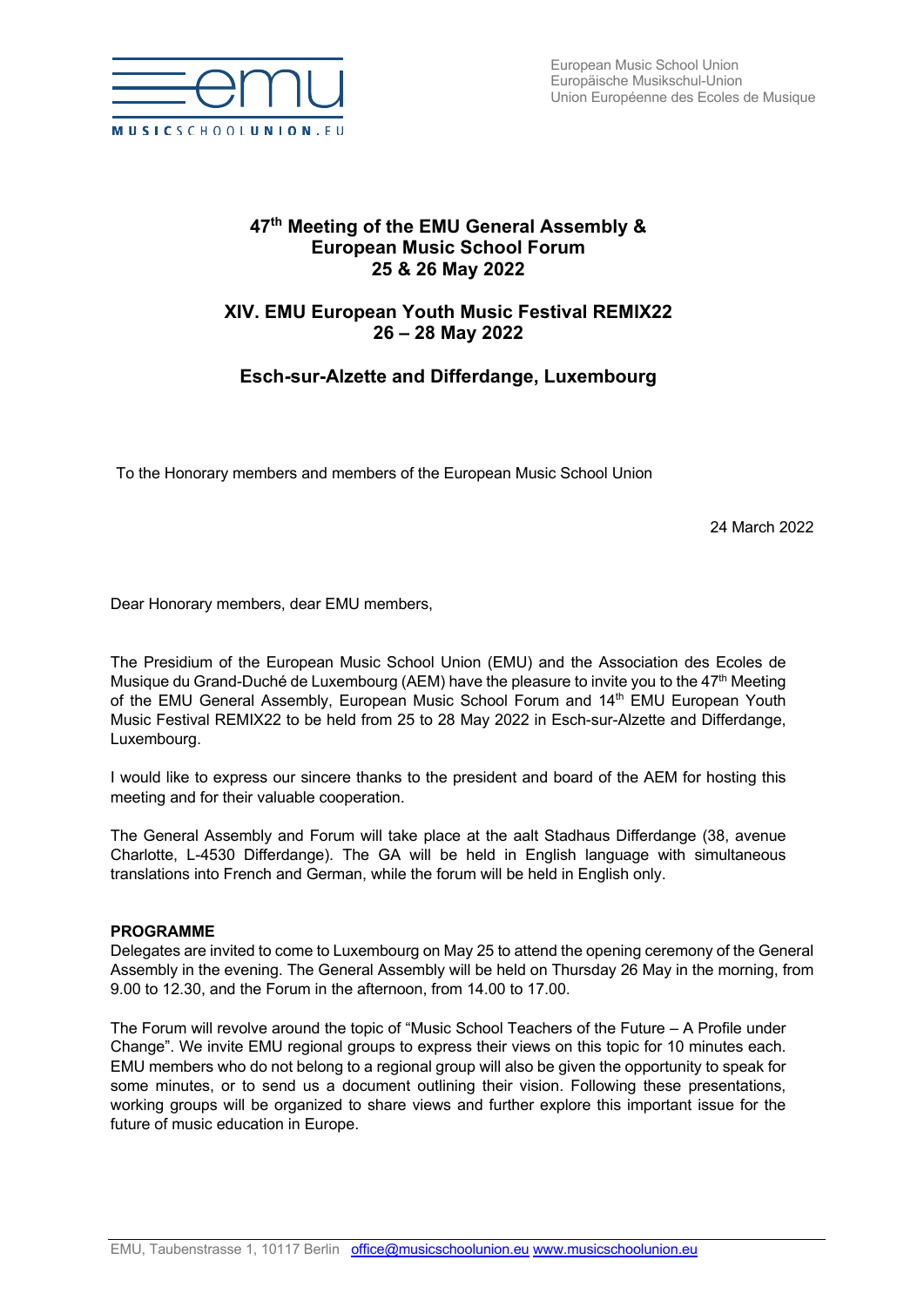

# **47th Meeting of the EMU General Assembly & European Music School Forum 25 & 26 May 2022**

## **XIV. EMU European Youth Music Festival REMIX22 26 – 28 May 2022**

# **Esch-sur-Alzette and Differdange, Luxembourg**

To the Honorary members and members of the European Music School Union

24 March 2022

Dear Honorary members, dear EMU members,

The Presidium of the European Music School Union (EMU) and the Association des Ecoles de Musique du Grand-Duché de Luxembourg (AEM) have the pleasure to invite you to the  $47<sup>th</sup>$  Meeting of the EMU General Assembly, European Music School Forum and 14th EMU European Youth Music Festival REMIX22 to be held from 25 to 28 May 2022 in Esch-sur-Alzette and Differdange, Luxembourg.

I would like to express our sincere thanks to the president and board of the AEM for hosting this meeting and for their valuable cooperation.

The General Assembly and Forum will take place at the aalt Stadhaus Differdange (38, avenue Charlotte, L-4530 Differdange). The GA will be held in English language with simultaneous translations into French and German, while the forum will be held in English only.

## **PROGRAMME**

Delegates are invited to come to Luxembourg on May 25 to attend the opening ceremony of the General Assembly in the evening. The General Assembly will be held on Thursday 26 May in the morning, from 9.00 to 12.30, and the Forum in the afternoon, from 14.00 to 17.00.

The Forum will revolve around the topic of "Music School Teachers of the Future – A Profile under Change". We invite EMU regional groups to express their views on this topic for 10 minutes each. EMU members who do not belong to a regional group will also be given the opportunity to speak for some minutes, or to send us a document outlining their vision. Following these presentations, working groups will be organized to share views and further explore this important issue for the future of music education in Europe.